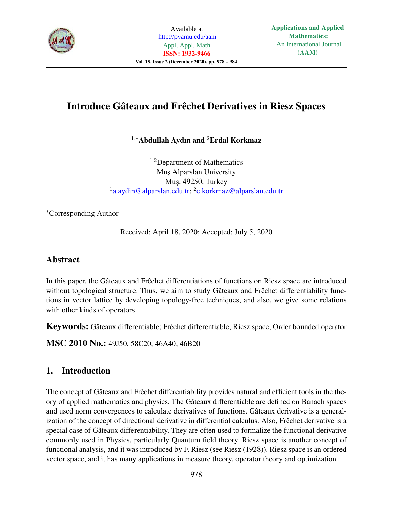

# Introduce Gâteaux and Frêchet Derivatives in Riesz Spaces

# <sup>1</sup>,<sup>∗</sup>Abdullah Aydın and <sup>2</sup>Erdal Korkmaz

 $1,2$ Department of Mathematics Mus Alparslan University Muş, 49250, Turkey <sup>1</sup> a.aydin@alparslan.edu.tr; <sup>2</sup> e.korkmaz@alparslan.edu.tr

<sup>∗</sup>Corresponding Author

Received: April 18, 2020; Accepted: July 5, 2020

# Abstract

In this paper, the Gâteaux and Frêchet differentiations of functions on Riesz space are introduced without topological structure. Thus, we aim to study Gâteaux and Frêchet differentiability functions in vector lattice by developing topology-free techniques, and also, we give some relations with other kinds of operators.

Keywords: Gâteaux differentiable; Frêchet differentiable; Riesz space; Order bounded operator

MSC 2010 No.: 49J50, 58C20, 46A40, 46B20

# 1. Introduction

The concept of Gâteaux and Frêchet differentiability provides natural and efficient tools in the theory of applied mathematics and physics. The Gâteaux differentiable are defined on Banach spaces and used norm convergences to calculate derivatives of functions. Gâteaux derivative is a generalization of the concept of directional derivative in differential calculus. Also, Frêchet derivative is a special case of Gâteaux differentiability. They are often used to formalize the functional derivative commonly used in Physics, particularly Quantum field theory. Riesz space is another concept of functional analysis, and it was introduced by F. Riesz (see Riesz (1928)). Riesz space is an ordered vector space, and it has many applications in measure theory, operator theory and optimization.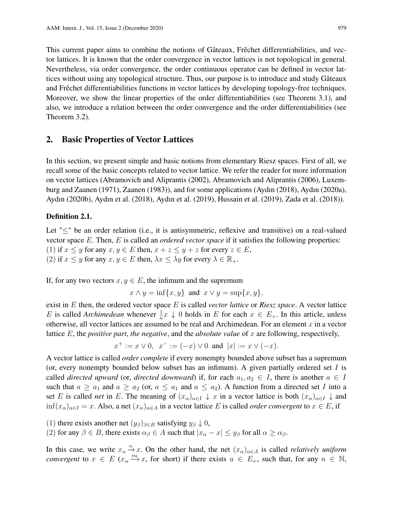This current paper aims to combine the notions of Gâteaux, Frêchet differentiabilities, and vector lattices. It is known that the order convergence in vector lattices is not topological in general. Nevertheless, via order convergence, the order continuous operator can be defined in vector lattices without using any topological structure. Thus, our purpose is to introduce and study Gâteaux and Frêchet differentiabilities functions in vector lattices by developing topology-free techniques. Moreover, we show the linear properties of the order differentiabilities (see Theorem 3.1), and also, we introduce a relation between the order convergence and the order differentiabilities (see Theorem 3.2).

### 2. Basic Properties of Vector Lattices

In this section, we present simple and basic notions from elementary Riesz spaces. First of all, we recall some of the basic concepts related to vector lattice. We refer the reader for more information on vector lattices (Abramovich and Aliprantis (2002), Abramovich and Aliprantis (2006), Luxemburg and Zaanen (1971), Zaanen (1983)), and for some applications (Aydın (2018), Aydın (2020a), Aydın (2020b), Aydın et al. (2018), Aydın et al. (2019), Hussain et al. (2019), Zada et al. (2018)).

#### Definition 2.1.

Let "≤" be an order relation (i.e., it is antisymmetric, reflexive and transitive) on a real-valued vector space E. Then, E is called an *ordered vector space* if it satisfies the following properties: (1) if  $x \leq y$  for any  $x, y \in E$  then,  $x + z \leq y + z$  for every  $z \in E$ , (2) if  $x \leq y$  for any  $x, y \in E$  then,  $\lambda x \leq \lambda y$  for every  $\lambda \in \mathbb{R}_+$ .

If, for any two vectors  $x, y \in E$ , the infimum and the supremum

$$
x \wedge y = \inf\{x, y\} \text{ and } x \vee y = \sup\{x, y\},
$$

exist in E then, the ordered vector space E is called *vector lattice* or *Riesz space*. A vector lattice E is called *Archimedean* whenever  $\frac{1}{n}x \downarrow 0$  holds in E for each  $x \in E_+$ . In this article, unless otherwise, all vector lattices are assumed to be real and Archimedean. For an element  $x$  in a vector lattice E, the *positive part*, *the negative*, and the *absolute value* of x are following, respectively,

$$
x^+ := x \vee 0
$$
,  $x^- := (-x) \vee 0$  and  $|x| := x \vee (-x)$ .

A vector lattice is called *order complete* if every nonempty bounded above subset has a supremum (or, every nonempty bounded below subset has an infimum). A given partially ordered set  $I$  is called *directed upward* (or, *directed downward*) if, for each  $a_1, a_2 \in I$ , there is another  $a \in I$ such that  $a \ge a_1$  and  $a \ge a_2$  (or,  $a \le a_1$  and  $a \le a_2$ ). A function from a directed set I into a set E is called *net* in E. The meaning of  $(x_{\alpha})_{\alpha \in I} \downarrow x$  in a vector lattice is both  $(x_{\alpha})_{\alpha \in I} \downarrow$  and  $\inf(x_\alpha)_{\alpha \in I} = x$ . Also, a net  $(x_\alpha)_{\alpha \in A}$  in a vector lattice E is called *order convergent* to  $x \in E$ , if

- (1) there exists another net  $(y_\beta)_{\beta \in B}$  satisfying  $y_\beta \downarrow 0$ ,
- (2) for any  $\beta \in B$ , there exists  $\alpha_{\beta} \in A$  such that  $|x_{\alpha} x| \leq y_{\beta}$  for all  $\alpha \geq \alpha_{\beta}$ .

In this case, we write  $x_{\alpha} \stackrel{\circ}{\rightarrow} x$ . On the other hand, the net  $(x_{\alpha})_{\alpha \in A}$  is called *relatively uniform convergent* to  $x \in E$  ( $x_{\alpha} \stackrel{\text{ru}}{\longrightarrow} x$ , for short) if there exists  $u \in E_{+}$ , such that, for any  $n \in \mathbb{N}$ ,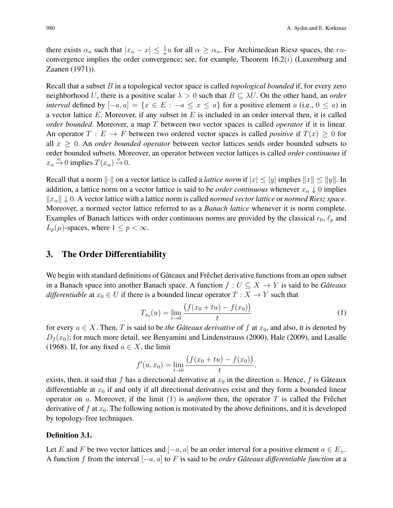there exists  $\alpha_n$  such that  $|x_\alpha - x| \leq \frac{1}{n}u$  for all  $\alpha \geq \alpha_n$ . For Archimedean Riesz spaces, the ruconvergence implies the order convergence; see, for example, Theorem  $16.2(i)$  (Luxemburg and Zaanen (1971)).

Recall that a subset B in a topological vector space is called *topological bounded* if, for every zero neighborhood U, there is a positive scalar  $\lambda > 0$  such that  $B \subseteq \lambda U$ . On the other hand, an *order interval* defined by  $[-a, a] = \{x \in E : -a \le x \le a\}$  for a positive element a (i.e.,  $0 \le a$ ) in a vector lattice E. Moreover, if any subset in  $E$  is included in an order interval then, it is called *order bounded*. Moreover, a map T between two vector spaces is called *operator* if it is linear. An operator  $T : E \to F$  between two ordered vector spaces is called *positive* if  $T(x) \geq 0$  for all  $x \geq 0$ . An *order bounded operator* between vector lattices sends order bounded subsets to order bounded subsets. Moreover, an operator between vector lattices is called *order continuous* if  $x_{\alpha} \xrightarrow{\circ} 0$  implies  $T(x_{\alpha}) \xrightarrow{\circ} 0$ .

Recall that a norm  $\|\cdot\|$  on a vector lattice is called a *lattice norm* if  $|x| \le |y|$  implies  $\|x\| \le \|y\|$ . In addition, a lattice norm on a vector lattice is said to be *order continuous* whenever  $x_{\alpha} \downarrow 0$  implies  $||x_\alpha|| \downarrow 0$ . A vector lattice with a lattice norm is called *normed vector lattice* or *normed Riesz space*. Moreover, a normed vector lattice referred to as a *Banach lattice* whenever it is norm complete. Examples of Banach lattices with order continuous norms are provided by the classical  $c_0$ ,  $\ell_p$  and  $L_p(\mu)$ -spaces, where  $1 \leq p < \infty$ .

### 3. The Order Differentiability

We begin with standard definitions of Gâteaux and Frêchet derivative functions from an open subset in a Banach space into another Banach space. A function  $f: U \subseteq X \to Y$  is said to be *Gâteaux differentiable* at  $x_0 \in U$  if there is a bounded linear operator  $T : X \to Y$  such that

$$
T_{x_0}(u) = \lim_{t \to 0} \frac{\left(f(x_0 + tu) - f(x_0)\right)}{t} \tag{1}
$$

for every  $u \in X$ . Then, T is said to be *the Gâteaux derivative* of f at  $x_0$ , and also, it is denoted by  $D_f(x_0)$ ; for much more detail, see Benyamini and Lindenstrauss (2000), Hale (2009), and Lasalle (1968). If, for any fixed  $u \in X$ , the limit

$$
f'(u, x_0) = \lim_{t \to 0} \frac{(f(x_0 + tu) - f(x_0))}{t},
$$

exists, then, it said that f has a directional derivative at  $x_0$  in the direction u. Hence, f is Gâteaux differentiable at  $x_0$  if and only if all directional derivatives exist and they form a bounded linear operator on u. Moreover, if the limit  $(1)$  is *uniform* then, the operator T is called the Frêchet derivative of  $f$  at  $x_0$ . The following notion is motivated by the above definitions, and it is developed by topology-free techniques.

### Definition 3.1.

Let E and F be two vector lattices and  $[-a, a]$  be an order interval for a positive element  $a \in E_+$ . A function f from the interval [−a, a] to F is said to be *order Gâteaux differentiable function* at a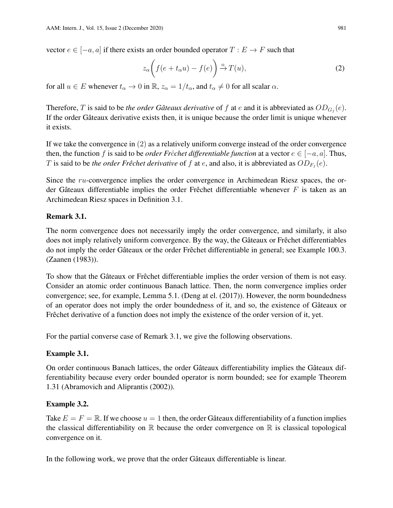vector  $e \in [-a, a]$  if there exists an order bounded operator  $T : E \to F$  such that

$$
z_{\alpha}\bigg(f(e+t_{\alpha}u)-f(e)\bigg) \xrightarrow{\mathrm{o}} T(u),\tag{2}
$$

for all  $u \in E$  whenever  $t_{\alpha} \to 0$  in  $\mathbb{R}$ ,  $z_{\alpha} = 1/t_{\alpha}$ , and  $t_{\alpha} \neq 0$  for all scalar  $\alpha$ .

Therefore, T is said to be *the order Gâteaux derivative* of f at e and it is abbreviated as  $OD_{G_f}(e)$ . If the order Gâteaux derivative exists then, it is unique because the order limit is unique whenever it exists.

If we take the convergence in (2) as a relatively uniform converge instead of the order convergence then, the function f is said to be *order Frĉchet differentiable function* at a vector  $e \in [-a, a]$ . Thus, T is said to be *the order Frêchet derivative* of f at e, and also, it is abbreviated as  $OD_{F_f}(e)$ .

Since the ru-convergence implies the order convergence in Archimedean Riesz spaces, the order Gâteaux differentiable implies the order Frêchet differentiable whenever  $F$  is taken as an Archimedean Riesz spaces in Definition 3.1.

## Remark 3.1.

The norm convergence does not necessarily imply the order convergence, and similarly, it also does not imply relatively uniform convergence. By the way, the Gâteaux or Frêchet differentiables do not imply the order Gâteaux or the order Frêchet differentiable in general; see Example 100.3. (Zaanen (1983)).

To show that the Gâteaux or Frêchet differentiable implies the order version of them is not easy. Consider an atomic order continuous Banach lattice. Then, the norm convergence implies order convergence; see, for example, Lemma 5.1. (Deng at el. (2017)). However, the norm boundedness of an operator does not imply the order boundedness of it, and so, the existence of Gâteaux or Frêchet derivative of a function does not imply the existence of the order version of it, yet.

For the partial converse case of Remark 3.1, we give the following observations.

## Example 3.1.

On order continuous Banach lattices, the order Gâteaux differentiability implies the Gâteaux differentiability because every order bounded operator is norm bounded; see for example Theorem 1.31 (Abramovich and Aliprantis (2002)).

## Example 3.2.

Take  $E = F = \mathbb{R}$ . If we choose  $u = 1$  then, the order Gâteaux differentiability of a function implies the classical differentiability on  $\mathbb R$  because the order convergence on  $\mathbb R$  is classical topological convergence on it.

In the following work, we prove that the order Gâteaux differentiable is linear.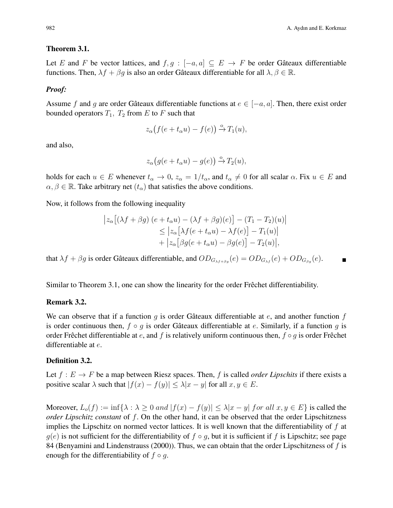### Theorem 3.1.

Let E and F be vector lattices, and  $f, g : [-a, a] \subseteq E \rightarrow F$  be order Gâteaux differentiable functions. Then,  $\lambda f + \beta g$  is also an order Gâteaux differentiable for all  $\lambda, \beta \in \mathbb{R}$ .

#### *Proof:*

Assume f and g are order Gâteaux differentiable functions at  $e \in [-a, a]$ . Then, there exist order bounded operators  $T_1$ ,  $T_2$  from E to F such that

$$
z_{\alpha}(f(e+t_{\alpha}u)-f(e)) \stackrel{\circ}{\rightarrow} T_1(u),
$$

and also,

$$
z_{\alpha}(g(e+t_{\alpha}u)-g(e)) \stackrel{\circ}{\rightarrow} T_2(u),
$$

holds for each  $u \in E$  whenever  $t_{\alpha} \to 0$ ,  $z_{\alpha} = 1/t_{\alpha}$ , and  $t_{\alpha} \neq 0$  for all scalar  $\alpha$ . Fix  $u \in E$  and  $\alpha, \beta \in \mathbb{R}$ . Take arbitrary net  $(t_{\alpha})$  that satisfies the above conditions.

Now, it follows from the following inequality

$$
\begin{aligned} \left| z_{\alpha} \left[ (\lambda f + \beta g) \left( e + t_{\alpha} u \right) - (\lambda f + \beta g)(e) \right] - (T_1 - T_2)(u) \right| \\ &\leq \left| z_{\alpha} \left[ \lambda f(e + t_{\alpha} u) - \lambda f(e) \right] - T_1(u) \right| \\ &+ \left| z_{\alpha} \left[ \beta g(e + t_{\alpha} u) - \beta g(e) \right] - T_2(u) \right|, \end{aligned}
$$

that  $\lambda f + \beta g$  is order Gâteaux differentiable, and  $OD_{G_{\lambda f + \beta g}}(e) = OD_{G_{\lambda f}}(e) + OD_{G_{\beta g}}(e)$ .

Similar to Theorem 3.1, one can show the linearity for the order Frêchet differentiability.

### Remark 3.2.

We can observe that if a function q is order Gâteaux differentiable at  $e$ , and another function f is order continuous then,  $f \circ q$  is order Gâteaux differentiable at e. Similarly, if a function q is order Frêchet differentiable at e, and f is relatively uniform continuous then,  $f \circ q$  is order Frêchet differentiable at e.

#### Definition 3.2.

Let  $f : E \to F$  be a map between Riesz spaces. Then, f is called *order Lipschits* if there exists a positive scalar  $\lambda$  such that  $|f(x) - f(y)| \leq \lambda |x - y|$  for all  $x, y \in E$ .

Moreover,  $L_o(f) := \inf \{ \lambda : \lambda \geq 0 \text{ and } |f(x) - f(y)| \leq \lambda |x - y| \text{ for all } x, y \in E \}$  is called the *order Lipschitz constant* of f. On the other hand, it can be observed that the order Lipschitzness implies the Lipschitz on normed vector lattices. It is well known that the differentiability of  $f$  at  $g(e)$  is not sufficient for the differentiability of  $f \circ g$ , but it is sufficient if f is Lipschitz; see page 84 (Benyamini and Lindenstrauss (2000)). Thus, we can obtain that the order Lipschitzness of  $f$  is enough for the differentiability of  $f \circ q$ .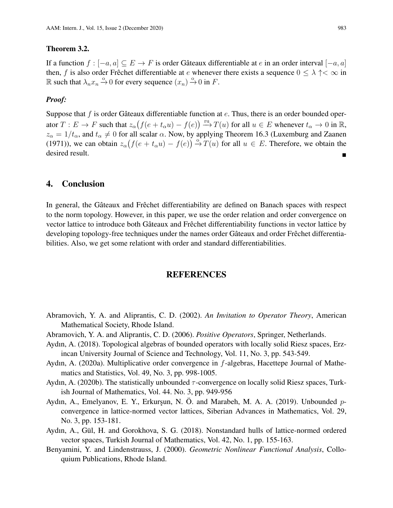### Theorem 3.2.

If a function  $f : [-a, a] \subseteq E \rightarrow F$  is order Gâteaux differentiable at e in an order interval  $[-a, a]$ then, f is also order Frêchet differentiable at e whenever there exists a sequence  $0 \leq \lambda \uparrow < \infty$  in R such that  $\lambda_n x_n \xrightarrow{\circ} 0$  for every sequence  $(x_n) \xrightarrow{\circ} 0$  in F.

#### *Proof:*

Suppose that f is order Gâteaux differentiable function at  $e$ . Thus, there is an order bounded operator  $T: E \to F$  such that  $z_\alpha(f(e + t_\alpha u) - f(e)) \xrightarrow{\text{ru}} T(u)$  for all  $u \in E$  whenever  $t_\alpha \to 0$  in R,  $z_{\alpha} = 1/t_{\alpha}$ , and  $t_{\alpha} \neq 0$  for all scalar  $\alpha$ . Now, by applying Theorem 16.3 (Luxemburg and Zaanen (1971)), we can obtain  $z_{\alpha}(f(e + t_{\alpha}u) - f(e)) \stackrel{\circ}{\rightarrow} T(u)$  for all  $u \in E$ . Therefore, we obtain the desired result.

## 4. Conclusion

In general, the Gâteaux and Frêchet differentiability are defined on Banach spaces with respect to the norm topology. However, in this paper, we use the order relation and order convergence on vector lattice to introduce both Gâteaux and Frêchet differentiability functions in vector lattice by developing topology-free techniques under the names order Gâteaux and order Frêchet differentiabilities. Also, we get some relationt with order and standard differentiabilities.

### REFERENCES

- Abramovich, Y. A. and Aliprantis, C. D. (2002). *An Invitation to Operator Theory*, American Mathematical Society, Rhode Island.
- Abramovich, Y. A. and Aliprantis, C. D. (2006). *Positive Operators*, Springer, Netherlands.
- Aydın, A. (2018). Topological algebras of bounded operators with locally solid Riesz spaces, Erzincan University Journal of Science and Technology, Vol. 11, No. 3, pp. 543-549.
- Aydın, A. (2020a). Multiplicative order convergence in f-algebras, Hacettepe Journal of Mathematics and Statistics, Vol. 49, No. 3, pp. 998-1005.
- Aydın, A. (2020b). The statistically unbounded  $\tau$ -convergence on locally solid Riesz spaces, Turkish Journal of Mathematics, Vol. 44. No. 3, pp. 949-956
- Aydın, A., Emelyanov, E. Y., Erkurşun, N. Ö. and Marabeh, M. A. A. (2019). Unbounded  $p$ convergence in lattice-normed vector lattices, Siberian Advances in Mathematics, Vol. 29, No. 3, pp. 153-181.
- Aydın, A., Gül, H. and Gorokhova, S. G. (2018). Nonstandard hulls of lattice-normed ordered vector spaces, Turkish Journal of Mathematics, Vol. 42, No. 1, pp. 155-163.
- Benyamini, Y. and Lindenstrauss, J. (2000). *Geometric Nonlinear Functional Analysis*, Colloquium Publications, Rhode Island.